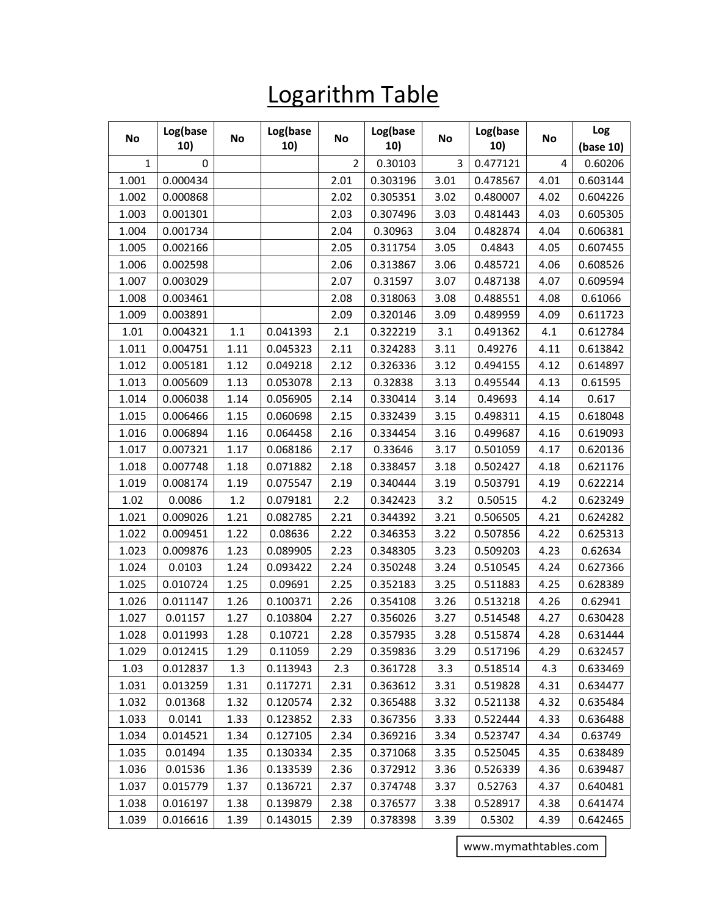## Logarithm Table

| No          | Log(base<br>10) | No      | Log(base<br>10) | No             | Log(base<br>10) | No   | Log(base<br>10) | No   | Log<br>(base 10) |
|-------------|-----------------|---------|-----------------|----------------|-----------------|------|-----------------|------|------------------|
| $\mathbf 1$ | 0               |         |                 | $\overline{2}$ | 0.30103         | 3    | 0.477121        | 4    | 0.60206          |
| 1.001       | 0.000434        |         |                 | 2.01           | 0.303196        | 3.01 | 0.478567        | 4.01 | 0.603144         |
| 1.002       | 0.000868        |         |                 | 2.02           | 0.305351        | 3.02 | 0.480007        | 4.02 | 0.604226         |
| 1.003       | 0.001301        |         |                 | 2.03           | 0.307496        | 3.03 | 0.481443        | 4.03 | 0.605305         |
| 1.004       | 0.001734        |         |                 | 2.04           | 0.30963         | 3.04 | 0.482874        | 4.04 | 0.606381         |
| 1.005       | 0.002166        |         |                 | 2.05           | 0.311754        | 3.05 | 0.4843          | 4.05 | 0.607455         |
| 1.006       | 0.002598        |         |                 | 2.06           | 0.313867        | 3.06 | 0.485721        | 4.06 | 0.608526         |
| 1.007       | 0.003029        |         |                 | 2.07           | 0.31597         | 3.07 | 0.487138        | 4.07 | 0.609594         |
| 1.008       | 0.003461        |         |                 | 2.08           | 0.318063        | 3.08 | 0.488551        | 4.08 | 0.61066          |
| 1.009       | 0.003891        |         |                 | 2.09           | 0.320146        | 3.09 | 0.489959        | 4.09 | 0.611723         |
| 1.01        | 0.004321        | $1.1\,$ | 0.041393        | 2.1            | 0.322219        | 3.1  | 0.491362        | 4.1  | 0.612784         |
| 1.011       | 0.004751        | 1.11    | 0.045323        | 2.11           | 0.324283        | 3.11 | 0.49276         | 4.11 | 0.613842         |
| 1.012       | 0.005181        | 1.12    | 0.049218        | 2.12           | 0.326336        | 3.12 | 0.494155        | 4.12 | 0.614897         |
| 1.013       | 0.005609        | 1.13    | 0.053078        | 2.13           | 0.32838         | 3.13 | 0.495544        | 4.13 | 0.61595          |
| 1.014       | 0.006038        | 1.14    | 0.056905        | 2.14           | 0.330414        | 3.14 | 0.49693         | 4.14 | 0.617            |
| 1.015       | 0.006466        | 1.15    | 0.060698        | 2.15           | 0.332439        | 3.15 | 0.498311        | 4.15 | 0.618048         |
| 1.016       | 0.006894        | 1.16    | 0.064458        | 2.16           | 0.334454        | 3.16 | 0.499687        | 4.16 | 0.619093         |
| 1.017       | 0.007321        | 1.17    | 0.068186        | 2.17           | 0.33646         | 3.17 | 0.501059        | 4.17 | 0.620136         |
| 1.018       | 0.007748        | 1.18    | 0.071882        | 2.18           | 0.338457        | 3.18 | 0.502427        | 4.18 | 0.621176         |
| 1.019       | 0.008174        | 1.19    | 0.075547        | 2.19           | 0.340444        | 3.19 | 0.503791        | 4.19 | 0.622214         |
| 1.02        | 0.0086          | 1.2     | 0.079181        | 2.2            | 0.342423        | 3.2  | 0.50515         | 4.2  | 0.623249         |
| 1.021       | 0.009026        | 1.21    | 0.082785        | 2.21           | 0.344392        | 3.21 | 0.506505        | 4.21 | 0.624282         |
| 1.022       | 0.009451        | 1.22    | 0.08636         | 2.22           | 0.346353        | 3.22 | 0.507856        | 4.22 | 0.625313         |
| 1.023       | 0.009876        | 1.23    | 0.089905        | 2.23           | 0.348305        | 3.23 | 0.509203        | 4.23 | 0.62634          |
| 1.024       | 0.0103          | 1.24    | 0.093422        | 2.24           | 0.350248        | 3.24 | 0.510545        | 4.24 | 0.627366         |
| 1.025       | 0.010724        | 1.25    | 0.09691         | 2.25           | 0.352183        | 3.25 | 0.511883        | 4.25 | 0.628389         |
| 1.026       | 0.011147        | 1.26    | 0.100371        | 2.26           | 0.354108        | 3.26 | 0.513218        | 4.26 | 0.62941          |
| 1.027       | 0.01157         | 1.27    | 0.103804        | 2.27           | 0.356026        | 3.27 | 0.514548        | 4.27 | 0.630428         |
| 1.028       | 0.011993        | 1.28    | 0.10721         | 2.28           | 0.357935        | 3.28 | 0.515874        | 4.28 | 0.631444         |
| 1.029       | 0.012415        | 1.29    | 0.11059         | 2.29           | 0.359836        | 3.29 | 0.517196        | 4.29 | 0.632457         |
| 1.03        | 0.012837        | 1.3     | 0.113943        | 2.3            | 0.361728        | 3.3  | 0.518514        | 4.3  | 0.633469         |
| 1.031       | 0.013259        | 1.31    | 0.117271        | 2.31           | 0.363612        | 3.31 | 0.519828        | 4.31 | 0.634477         |
| 1.032       | 0.01368         | 1.32    | 0.120574        | 2.32           | 0.365488        | 3.32 | 0.521138        | 4.32 | 0.635484         |
| 1.033       | 0.0141          | 1.33    | 0.123852        | 2.33           | 0.367356        | 3.33 | 0.522444        | 4.33 | 0.636488         |
| 1.034       | 0.014521        | 1.34    | 0.127105        | 2.34           | 0.369216        | 3.34 | 0.523747        | 4.34 | 0.63749          |
| 1.035       | 0.01494         | 1.35    | 0.130334        | 2.35           | 0.371068        | 3.35 | 0.525045        | 4.35 | 0.638489         |
| 1.036       | 0.01536         | 1.36    | 0.133539        | 2.36           | 0.372912        | 3.36 | 0.526339        | 4.36 | 0.639487         |
| 1.037       | 0.015779        | 1.37    | 0.136721        | 2.37           | 0.374748        | 3.37 | 0.52763         | 4.37 | 0.640481         |
| 1.038       | 0.016197        | 1.38    | 0.139879        | 2.38           | 0.376577        | 3.38 | 0.528917        | 4.38 | 0.641474         |
| 1.039       | 0.016616        | 1.39    | 0.143015        | 2.39           | 0.378398        | 3.39 | 0.5302          | 4.39 | 0.642465         |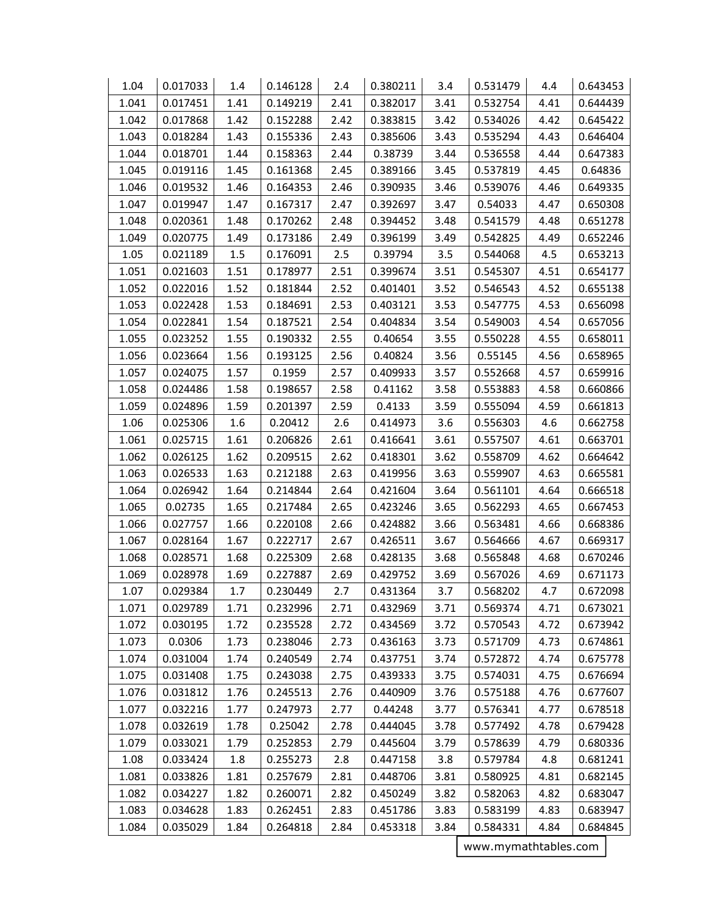| 1.04  | 0.017033 | 1.4  | 0.146128 | 2.4  | 0.380211 | 3.4  | 0.531479 | 4.4  | 0.643453      |
|-------|----------|------|----------|------|----------|------|----------|------|---------------|
| 1.041 | 0.017451 | 1.41 | 0.149219 | 2.41 | 0.382017 | 3.41 | 0.532754 | 4.41 | 0.644439      |
| 1.042 | 0.017868 | 1.42 | 0.152288 | 2.42 | 0.383815 | 3.42 | 0.534026 | 4.42 | 0.645422      |
| 1.043 | 0.018284 | 1.43 | 0.155336 | 2.43 | 0.385606 | 3.43 | 0.535294 | 4.43 | 0.646404      |
| 1.044 | 0.018701 | 1.44 | 0.158363 | 2.44 | 0.38739  | 3.44 | 0.536558 | 4.44 | 0.647383      |
| 1.045 | 0.019116 | 1.45 | 0.161368 | 2.45 | 0.389166 | 3.45 | 0.537819 | 4.45 | 0.64836       |
| 1.046 | 0.019532 | 1.46 | 0.164353 | 2.46 | 0.390935 | 3.46 | 0.539076 | 4.46 | 0.649335      |
| 1.047 | 0.019947 | 1.47 | 0.167317 | 2.47 | 0.392697 | 3.47 | 0.54033  | 4.47 | 0.650308      |
| 1.048 | 0.020361 | 1.48 | 0.170262 | 2.48 | 0.394452 | 3.48 | 0.541579 | 4.48 | 0.651278      |
| 1.049 | 0.020775 | 1.49 | 0.173186 | 2.49 | 0.396199 | 3.49 | 0.542825 | 4.49 | 0.652246      |
| 1.05  | 0.021189 | 1.5  | 0.176091 | 2.5  | 0.39794  | 3.5  | 0.544068 | 4.5  | 0.653213      |
| 1.051 | 0.021603 | 1.51 | 0.178977 | 2.51 | 0.399674 | 3.51 | 0.545307 | 4.51 | 0.654177      |
| 1.052 | 0.022016 | 1.52 | 0.181844 | 2.52 | 0.401401 | 3.52 | 0.546543 | 4.52 | 0.655138      |
| 1.053 | 0.022428 | 1.53 | 0.184691 | 2.53 | 0.403121 | 3.53 | 0.547775 | 4.53 | 0.656098      |
| 1.054 | 0.022841 | 1.54 | 0.187521 | 2.54 | 0.404834 | 3.54 | 0.549003 | 4.54 | 0.657056      |
| 1.055 | 0.023252 | 1.55 | 0.190332 | 2.55 | 0.40654  | 3.55 | 0.550228 | 4.55 | 0.658011      |
| 1.056 | 0.023664 | 1.56 | 0.193125 | 2.56 | 0.40824  | 3.56 | 0.55145  | 4.56 | 0.658965      |
| 1.057 | 0.024075 | 1.57 | 0.1959   | 2.57 | 0.409933 | 3.57 | 0.552668 | 4.57 | 0.659916      |
| 1.058 | 0.024486 | 1.58 | 0.198657 | 2.58 | 0.41162  | 3.58 | 0.553883 | 4.58 | 0.660866      |
| 1.059 | 0.024896 | 1.59 | 0.201397 | 2.59 | 0.4133   | 3.59 | 0.555094 | 4.59 | 0.661813      |
| 1.06  | 0.025306 | 1.6  | 0.20412  | 2.6  | 0.414973 | 3.6  | 0.556303 | 4.6  | 0.662758      |
| 1.061 | 0.025715 | 1.61 | 0.206826 | 2.61 | 0.416641 | 3.61 | 0.557507 | 4.61 | 0.663701      |
| 1.062 | 0.026125 | 1.62 | 0.209515 | 2.62 | 0.418301 | 3.62 | 0.558709 | 4.62 | 0.664642      |
| 1.063 | 0.026533 | 1.63 | 0.212188 | 2.63 | 0.419956 | 3.63 | 0.559907 | 4.63 | 0.665581      |
| 1.064 | 0.026942 | 1.64 | 0.214844 | 2.64 | 0.421604 | 3.64 | 0.561101 | 4.64 | 0.666518      |
| 1.065 | 0.02735  | 1.65 | 0.217484 | 2.65 | 0.423246 | 3.65 | 0.562293 | 4.65 | 0.667453      |
| 1.066 | 0.027757 | 1.66 | 0.220108 | 2.66 | 0.424882 | 3.66 | 0.563481 | 4.66 | 0.668386      |
| 1.067 | 0.028164 | 1.67 | 0.222717 | 2.67 | 0.426511 | 3.67 | 0.564666 | 4.67 | 0.669317      |
| 1.068 | 0.028571 | 1.68 | 0.225309 | 2.68 | 0.428135 | 3.68 | 0.565848 | 4.68 | 0.670246      |
| 1.069 | 0.028978 | 1.69 | 0.227887 | 2.69 | 0.429752 | 3.69 | 0.567026 | 4.69 | 0.671173      |
| 1.07  | 0.029384 | 1.7  | 0.230449 | 2.7  | 0.431364 | 3.7  | 0.568202 | 4.7  | 0.672098      |
| 1.071 | 0.029789 | 1.71 | 0.232996 | 2.71 | 0.432969 | 3.71 | 0.569374 | 4.71 | 0.673021      |
| 1.072 | 0.030195 | 1.72 | 0.235528 | 2.72 | 0.434569 | 3.72 | 0.570543 | 4.72 | 0.673942      |
| 1.073 | 0.0306   | 1.73 | 0.238046 | 2.73 | 0.436163 | 3.73 | 0.571709 | 4.73 | 0.674861      |
| 1.074 | 0.031004 | 1.74 | 0.240549 | 2.74 | 0.437751 | 3.74 | 0.572872 | 4.74 | 0.675778      |
| 1.075 | 0.031408 | 1.75 | 0.243038 | 2.75 | 0.439333 | 3.75 | 0.574031 | 4.75 | 0.676694      |
| 1.076 | 0.031812 | 1.76 | 0.245513 | 2.76 | 0.440909 | 3.76 | 0.575188 | 4.76 | 0.677607      |
| 1.077 | 0.032216 | 1.77 | 0.247973 | 2.77 | 0.44248  | 3.77 | 0.576341 | 4.77 | 0.678518      |
| 1.078 | 0.032619 | 1.78 | 0.25042  | 2.78 | 0.444045 | 3.78 | 0.577492 | 4.78 | 0.679428      |
| 1.079 | 0.033021 | 1.79 | 0.252853 | 2.79 | 0.445604 | 3.79 | 0.578639 | 4.79 | 0.680336      |
| 1.08  | 0.033424 | 1.8  | 0.255273 | 2.8  | 0.447158 | 3.8  | 0.579784 | 4.8  | 0.681241      |
| 1.081 | 0.033826 | 1.81 | 0.257679 | 2.81 | 0.448706 | 3.81 | 0.580925 | 4.81 | 0.682145      |
| 1.082 | 0.034227 | 1.82 | 0.260071 | 2.82 | 0.450249 | 3.82 | 0.582063 | 4.82 | 0.683047      |
| 1.083 | 0.034628 | 1.83 | 0.262451 | 2.83 | 0.451786 | 3.83 | 0.583199 | 4.83 | 0.683947      |
| 1.084 | 0.035029 | 1.84 | 0.264818 | 2.84 | 0.453318 | 3.84 | 0.584331 | 4.84 | 0.684845<br>┓ |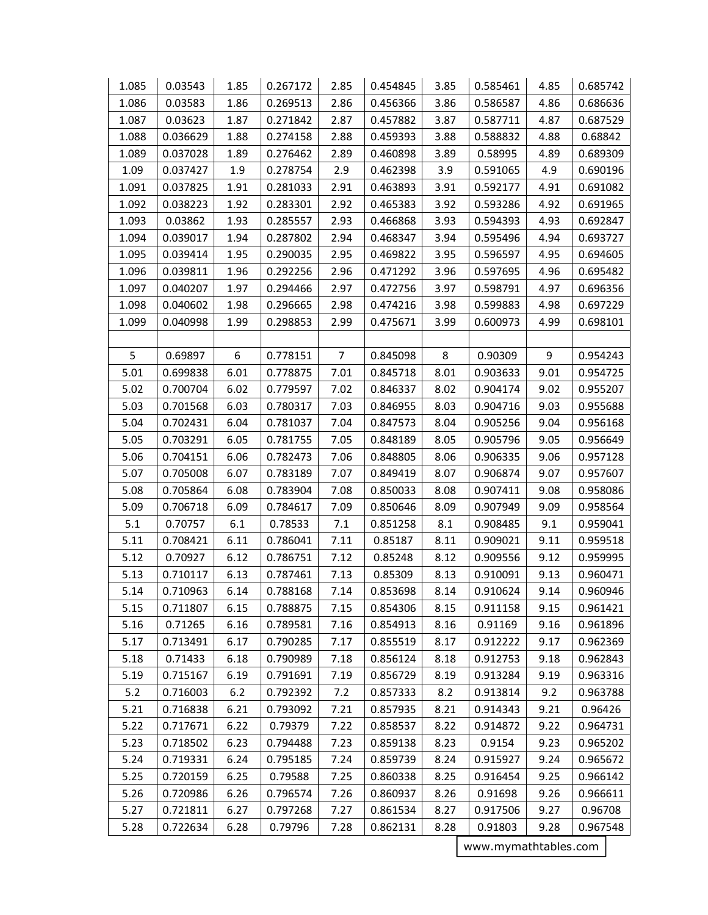| 1.085 | 0.03543  | 1.85 | 0.267172 | 2.85           | 0.454845 | 3.85 | 0.585461 | 4.85 | 0.685742 |
|-------|----------|------|----------|----------------|----------|------|----------|------|----------|
| 1.086 | 0.03583  | 1.86 | 0.269513 | 2.86           | 0.456366 | 3.86 | 0.586587 | 4.86 | 0.686636 |
| 1.087 | 0.03623  | 1.87 | 0.271842 | 2.87           | 0.457882 | 3.87 | 0.587711 | 4.87 | 0.687529 |
| 1.088 | 0.036629 | 1.88 | 0.274158 | 2.88           | 0.459393 | 3.88 | 0.588832 | 4.88 | 0.68842  |
| 1.089 | 0.037028 | 1.89 | 0.276462 | 2.89           | 0.460898 | 3.89 | 0.58995  | 4.89 | 0.689309 |
| 1.09  | 0.037427 | 1.9  | 0.278754 | 2.9            | 0.462398 | 3.9  | 0.591065 | 4.9  | 0.690196 |
| 1.091 | 0.037825 | 1.91 | 0.281033 | 2.91           | 0.463893 | 3.91 | 0.592177 | 4.91 | 0.691082 |
| 1.092 | 0.038223 | 1.92 | 0.283301 | 2.92           | 0.465383 | 3.92 | 0.593286 | 4.92 | 0.691965 |
| 1.093 | 0.03862  | 1.93 | 0.285557 | 2.93           | 0.466868 | 3.93 | 0.594393 | 4.93 | 0.692847 |
| 1.094 | 0.039017 | 1.94 | 0.287802 | 2.94           | 0.468347 | 3.94 | 0.595496 | 4.94 | 0.693727 |
| 1.095 | 0.039414 | 1.95 | 0.290035 | 2.95           | 0.469822 | 3.95 | 0.596597 | 4.95 | 0.694605 |
| 1.096 | 0.039811 | 1.96 | 0.292256 | 2.96           | 0.471292 | 3.96 | 0.597695 | 4.96 | 0.695482 |
| 1.097 | 0.040207 | 1.97 | 0.294466 | 2.97           | 0.472756 | 3.97 | 0.598791 | 4.97 | 0.696356 |
| 1.098 | 0.040602 | 1.98 | 0.296665 | 2.98           | 0.474216 | 3.98 | 0.599883 | 4.98 | 0.697229 |
| 1.099 | 0.040998 | 1.99 | 0.298853 | 2.99           | 0.475671 | 3.99 | 0.600973 | 4.99 | 0.698101 |
|       |          |      |          |                |          |      |          |      |          |
| 5     | 0.69897  | 6    | 0.778151 | $\overline{7}$ | 0.845098 | 8    | 0.90309  | 9    | 0.954243 |
| 5.01  | 0.699838 | 6.01 | 0.778875 | 7.01           | 0.845718 | 8.01 | 0.903633 | 9.01 | 0.954725 |
| 5.02  | 0.700704 | 6.02 | 0.779597 | 7.02           | 0.846337 | 8.02 | 0.904174 | 9.02 | 0.955207 |
| 5.03  | 0.701568 | 6.03 | 0.780317 | 7.03           | 0.846955 | 8.03 | 0.904716 | 9.03 | 0.955688 |
| 5.04  | 0.702431 | 6.04 | 0.781037 | 7.04           | 0.847573 | 8.04 | 0.905256 | 9.04 | 0.956168 |
| 5.05  | 0.703291 | 6.05 | 0.781755 | 7.05           | 0.848189 | 8.05 | 0.905796 | 9.05 | 0.956649 |
| 5.06  | 0.704151 | 6.06 | 0.782473 | 7.06           | 0.848805 | 8.06 | 0.906335 | 9.06 | 0.957128 |
| 5.07  | 0.705008 | 6.07 | 0.783189 | 7.07           | 0.849419 | 8.07 | 0.906874 | 9.07 | 0.957607 |
| 5.08  | 0.705864 | 6.08 | 0.783904 | 7.08           | 0.850033 | 8.08 | 0.907411 | 9.08 | 0.958086 |
| 5.09  | 0.706718 | 6.09 | 0.784617 | 7.09           | 0.850646 | 8.09 | 0.907949 | 9.09 | 0.958564 |
| 5.1   | 0.70757  | 6.1  | 0.78533  | 7.1            | 0.851258 | 8.1  | 0.908485 | 9.1  | 0.959041 |
| 5.11  | 0.708421 | 6.11 | 0.786041 | 7.11           | 0.85187  | 8.11 | 0.909021 | 9.11 | 0.959518 |
| 5.12  | 0.70927  | 6.12 | 0.786751 | 7.12           | 0.85248  | 8.12 | 0.909556 | 9.12 | 0.959995 |
| 5.13  | 0.710117 | 6.13 | 0.787461 | 7.13           | 0.85309  | 8.13 | 0.910091 | 9.13 | 0.960471 |
| 5.14  | 0.710963 | 6.14 | 0.788168 | 7.14           | 0.853698 | 8.14 | 0.910624 | 9.14 | 0.960946 |
| 5.15  | 0.711807 | 6.15 | 0.788875 | 7.15           | 0.854306 | 8.15 | 0.911158 | 9.15 | 0.961421 |
| 5.16  | 0.71265  | 6.16 | 0.789581 | 7.16           | 0.854913 | 8.16 | 0.91169  | 9.16 | 0.961896 |
| 5.17  | 0.713491 | 6.17 | 0.790285 | 7.17           | 0.855519 | 8.17 | 0.912222 | 9.17 | 0.962369 |
| 5.18  | 0.71433  | 6.18 | 0.790989 | 7.18           | 0.856124 | 8.18 | 0.912753 | 9.18 | 0.962843 |
| 5.19  | 0.715167 | 6.19 | 0.791691 | 7.19           | 0.856729 | 8.19 | 0.913284 | 9.19 | 0.963316 |
| $5.2$ | 0.716003 | 6.2  | 0.792392 | 7.2            | 0.857333 | 8.2  | 0.913814 | 9.2  | 0.963788 |
| 5.21  | 0.716838 | 6.21 | 0.793092 | 7.21           | 0.857935 | 8.21 | 0.914343 | 9.21 | 0.96426  |
| 5.22  | 0.717671 | 6.22 | 0.79379  | 7.22           | 0.858537 | 8.22 | 0.914872 | 9.22 | 0.964731 |
| 5.23  | 0.718502 | 6.23 | 0.794488 | 7.23           | 0.859138 | 8.23 | 0.9154   | 9.23 | 0.965202 |
| 5.24  | 0.719331 | 6.24 | 0.795185 | 7.24           | 0.859739 | 8.24 | 0.915927 | 9.24 | 0.965672 |
| 5.25  | 0.720159 | 6.25 | 0.79588  | 7.25           | 0.860338 | 8.25 | 0.916454 | 9.25 | 0.966142 |
| 5.26  | 0.720986 | 6.26 | 0.796574 | 7.26           | 0.860937 | 8.26 | 0.91698  | 9.26 | 0.966611 |
| 5.27  | 0.721811 | 6.27 | 0.797268 | 7.27           | 0.861534 | 8.27 | 0.917506 | 9.27 | 0.96708  |
| 5.28  | 0.722634 | 6.28 | 0.79796  | 7.28           | 0.862131 | 8.28 | 0.91803  | 9.28 | 0.967548 |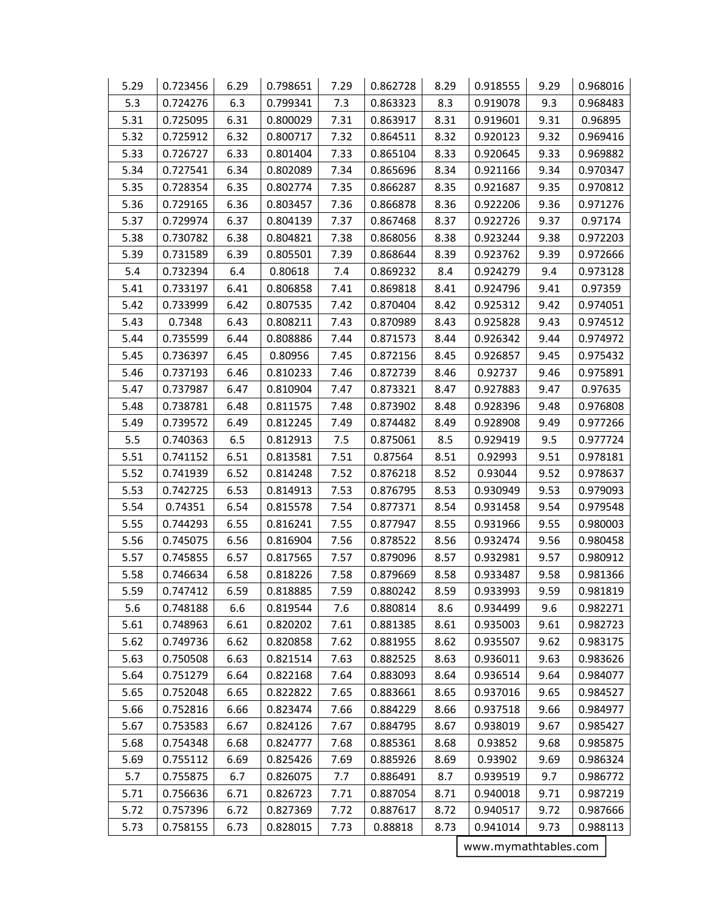| 5.29 | 0.723456 | 6.29 | 0.798651 | 7.29 | 0.862728 | 8.29 | 0.918555 | 9.29 | 0.968016 |
|------|----------|------|----------|------|----------|------|----------|------|----------|
| 5.3  | 0.724276 | 6.3  | 0.799341 | 7.3  | 0.863323 | 8.3  | 0.919078 | 9.3  | 0.968483 |
| 5.31 | 0.725095 | 6.31 | 0.800029 | 7.31 | 0.863917 | 8.31 | 0.919601 | 9.31 | 0.96895  |
| 5.32 | 0.725912 | 6.32 | 0.800717 | 7.32 | 0.864511 | 8.32 | 0.920123 | 9.32 | 0.969416 |
| 5.33 | 0.726727 | 6.33 | 0.801404 | 7.33 | 0.865104 | 8.33 | 0.920645 | 9.33 | 0.969882 |
| 5.34 | 0.727541 | 6.34 | 0.802089 | 7.34 | 0.865696 | 8.34 | 0.921166 | 9.34 | 0.970347 |
| 5.35 | 0.728354 | 6.35 | 0.802774 | 7.35 | 0.866287 | 8.35 | 0.921687 | 9.35 | 0.970812 |
| 5.36 | 0.729165 | 6.36 | 0.803457 | 7.36 | 0.866878 | 8.36 | 0.922206 | 9.36 | 0.971276 |
| 5.37 | 0.729974 | 6.37 | 0.804139 | 7.37 | 0.867468 | 8.37 | 0.922726 | 9.37 | 0.97174  |
| 5.38 | 0.730782 | 6.38 | 0.804821 | 7.38 | 0.868056 | 8.38 | 0.923244 | 9.38 | 0.972203 |
| 5.39 | 0.731589 | 6.39 | 0.805501 | 7.39 | 0.868644 | 8.39 | 0.923762 | 9.39 | 0.972666 |
| 5.4  | 0.732394 | 6.4  | 0.80618  | 7.4  | 0.869232 | 8.4  | 0.924279 | 9.4  | 0.973128 |
| 5.41 | 0.733197 | 6.41 | 0.806858 | 7.41 | 0.869818 | 8.41 | 0.924796 | 9.41 | 0.97359  |
| 5.42 | 0.733999 | 6.42 | 0.807535 | 7.42 | 0.870404 | 8.42 | 0.925312 | 9.42 | 0.974051 |
| 5.43 | 0.7348   | 6.43 | 0.808211 | 7.43 | 0.870989 | 8.43 | 0.925828 | 9.43 | 0.974512 |
| 5.44 | 0.735599 | 6.44 | 0.808886 | 7.44 | 0.871573 | 8.44 | 0.926342 | 9.44 | 0.974972 |
| 5.45 | 0.736397 | 6.45 | 0.80956  | 7.45 | 0.872156 | 8.45 | 0.926857 | 9.45 | 0.975432 |
| 5.46 | 0.737193 | 6.46 | 0.810233 | 7.46 | 0.872739 | 8.46 | 0.92737  | 9.46 | 0.975891 |
| 5.47 | 0.737987 | 6.47 | 0.810904 | 7.47 | 0.873321 | 8.47 | 0.927883 | 9.47 | 0.97635  |
| 5.48 | 0.738781 | 6.48 | 0.811575 | 7.48 | 0.873902 | 8.48 | 0.928396 | 9.48 | 0.976808 |
| 5.49 | 0.739572 | 6.49 | 0.812245 | 7.49 | 0.874482 | 8.49 | 0.928908 | 9.49 | 0.977266 |
| 5.5  | 0.740363 | 6.5  | 0.812913 | 7.5  | 0.875061 | 8.5  | 0.929419 | 9.5  | 0.977724 |
| 5.51 | 0.741152 | 6.51 | 0.813581 | 7.51 | 0.87564  | 8.51 | 0.92993  | 9.51 | 0.978181 |
| 5.52 | 0.741939 | 6.52 | 0.814248 | 7.52 | 0.876218 | 8.52 | 0.93044  | 9.52 | 0.978637 |
| 5.53 | 0.742725 | 6.53 | 0.814913 | 7.53 | 0.876795 | 8.53 | 0.930949 | 9.53 | 0.979093 |
| 5.54 | 0.74351  | 6.54 | 0.815578 | 7.54 | 0.877371 | 8.54 | 0.931458 | 9.54 | 0.979548 |
| 5.55 | 0.744293 | 6.55 | 0.816241 | 7.55 | 0.877947 | 8.55 | 0.931966 | 9.55 | 0.980003 |
| 5.56 | 0.745075 | 6.56 | 0.816904 | 7.56 | 0.878522 | 8.56 | 0.932474 | 9.56 | 0.980458 |
| 5.57 | 0.745855 | 6.57 | 0.817565 | 7.57 | 0.879096 | 8.57 | 0.932981 | 9.57 | 0.980912 |
| 5.58 | 0.746634 | 6.58 | 0.818226 | 7.58 | 0.879669 | 8.58 | 0.933487 | 9.58 | 0.981366 |
| 5.59 | 0.747412 | 6.59 | 0.818885 | 7.59 | 0.880242 | 8.59 | 0.933993 | 9.59 | 0.981819 |
| 5.6  | 0.748188 | 6.6  | 0.819544 | 7.6  | 0.880814 | 8.6  | 0.934499 | 9.6  | 0.982271 |
| 5.61 | 0.748963 | 6.61 | 0.820202 | 7.61 | 0.881385 | 8.61 | 0.935003 | 9.61 | 0.982723 |
| 5.62 | 0.749736 | 6.62 | 0.820858 | 7.62 | 0.881955 | 8.62 | 0.935507 | 9.62 | 0.983175 |
| 5.63 | 0.750508 | 6.63 | 0.821514 | 7.63 | 0.882525 | 8.63 | 0.936011 | 9.63 | 0.983626 |
| 5.64 | 0.751279 | 6.64 | 0.822168 | 7.64 | 0.883093 | 8.64 | 0.936514 | 9.64 | 0.984077 |
| 5.65 | 0.752048 | 6.65 | 0.822822 | 7.65 | 0.883661 | 8.65 | 0.937016 | 9.65 | 0.984527 |
| 5.66 | 0.752816 | 6.66 | 0.823474 | 7.66 | 0.884229 | 8.66 | 0.937518 | 9.66 | 0.984977 |
| 5.67 | 0.753583 | 6.67 | 0.824126 | 7.67 | 0.884795 | 8.67 | 0.938019 | 9.67 | 0.985427 |
| 5.68 | 0.754348 | 6.68 | 0.824777 | 7.68 | 0.885361 | 8.68 | 0.93852  | 9.68 | 0.985875 |
| 5.69 | 0.755112 | 6.69 | 0.825426 | 7.69 | 0.885926 | 8.69 | 0.93902  | 9.69 | 0.986324 |
| 5.7  | 0.755875 | 6.7  | 0.826075 | 7.7  | 0.886491 | 8.7  | 0.939519 | 9.7  | 0.986772 |
| 5.71 | 0.756636 | 6.71 | 0.826723 | 7.71 | 0.887054 | 8.71 | 0.940018 | 9.71 | 0.987219 |
| 5.72 | 0.757396 | 6.72 | 0.827369 | 7.72 | 0.887617 | 8.72 | 0.940517 | 9.72 | 0.987666 |
| 5.73 | 0.758155 | 6.73 | 0.828015 | 7.73 | 0.88818  | 8.73 | 0.941014 | 9.73 | 0.988113 |